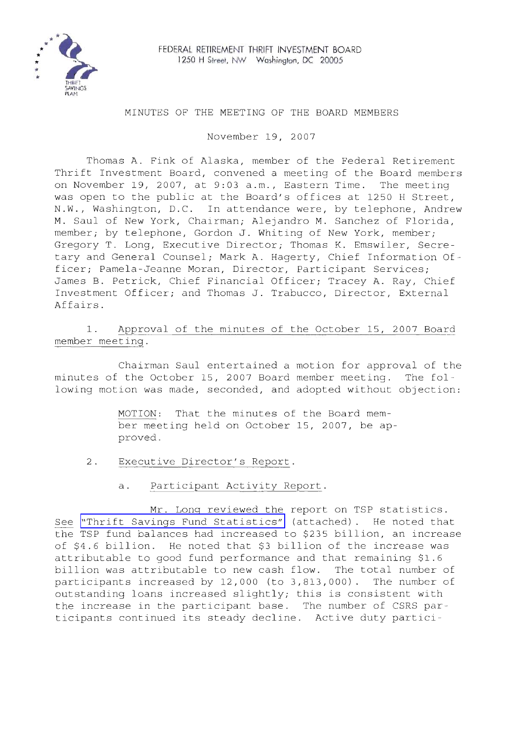

### MINUTES OF THE MEETING OF THE BOARD MEMBERS

November 19, 2007

Thomas A. Fink of Alaska, member of the Federal Retirement Thrift Investment Board, convened a meeting of the Board members on November 19, 2007, at 9:03 a.m., Eastern Time. The meeting was open to the public at the Board's offices at 1250 <sup>H</sup> Street, N.W., Washington, D.C. In attendance were, by telephone, Andrew M. Saul of New York, Chairman; Alejandro M. Sanchez of Florida, member; by telephone, Gordon J. Whiting of New York, member; Gregory T. Long, Executive Director; Thomas K. Emswiler, Secretary and General Counsel; Mark A. Hagerty, Chief Information Officer; Pamela-Jeanne Moran, Director, Participant Services; James B. Petrick, Chief Financial Officer; Tracey A. Ray, Chief Investment Officer; and Thomas J. Trabucco, Director, External Affairs.

1. Approval of the minutes of the October 15, 2007 Board member meeting.

Chairman Saul entertained a motion for approval of the minutes of the October 15, 2007 Board member meeting. The following motion was made, seconded, and adopted without objection:

> MOTION: That the minutes of the Board member meeting held on October 15, 2007, be approved.

- 2. Executive Director's Report.
	- a. Participant Activity Report.

Mr. Long reviewed the report on TSP statistics. See "Thrift Savings Fund [Statistics"](MM-2007Nov-Att1.pdf) (attached). He noted that the TSP fund balances had increased to \$235 billion, an increase of \$4.6 billion. He noted that \$3 billion of the increase was attributable to good fund performance and that remaining \$1.6 billion was attributable to new cash flow. The total number of participants increased by 12,000 (to 3,813,000). The number of outstanding loans increased slightly; this is consistent with the increase in the participant base. The number of CSRS participants continued its steady decline. Active duty partici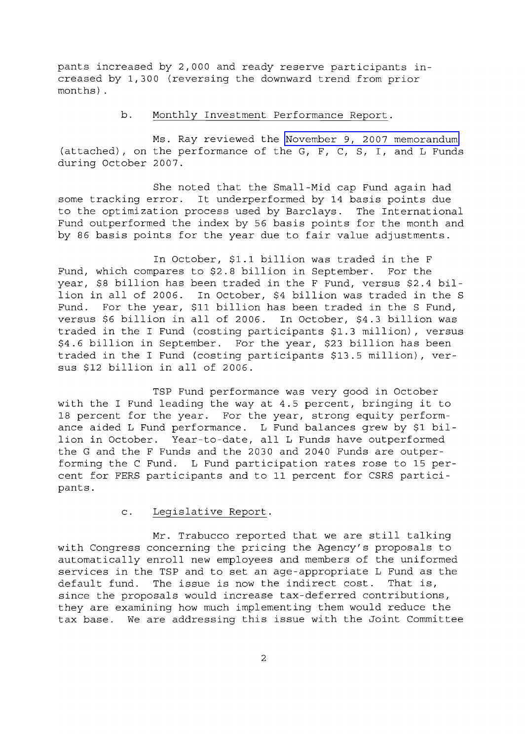pants increased by 2,000 and ready reserve participants increased by 1,300 (reversing the downward trend from prior months) .

# b. Monthly Investment Performance Report.

Ms. Ray reviewed the November 9, 2007 [memorandum](MM-2007Nov-Att2.pdf) (attached), on the performance of the G, F, C, S, I, and L Funds during October 2007.

She noted that the Small-Mid cap Fund again had some tracking error. It underperformed by <sup>14</sup> basis points due to the optimization process used by Barclays. The International Fund outperformed the index by 56 basis points for the month and by <sup>86</sup> basis points for the year due to fair value adjustments.

In October, \$1.1 billion was traded in the <sup>F</sup> Fund, which compares to \$2.8 billion in September. For the year, \$8 billion has been traded in the <sup>F</sup> Fund, versus \$2.4 billion in all of 2006. In October, \$4 billion was traded in the <sup>S</sup> Fund. For the year, \$11 billion has been traded in the <sup>S</sup> Fund, versus \$6 billion in all of 2006. In October, \$4.3 billion was traded in the I Fund (costing participants \$1.3 million), versus \$4.6 billion in September. For the year, \$23 billion has been traded in the I Fund (costing participants \$13.5 million), versus \$12 billion in all of 2006.

TSP Fund performance was very good in October with the <sup>I</sup> Fund leading the way at 4.5 percent, bringing it to 18 percent for the year. For the year, strong equity performance aided <sup>L</sup> Fund performance. <sup>L</sup> Fund balances grew by \$1 billion in October. Year-to-date, all <sup>L</sup> Funds have outperformed the G and the F Funds and the 2030 and 2040 Funds are outperforming the C Fund. L Fund participation rates rose to 15 percent for FERS participants and to 11 percent for CSRS participants.

## c. Legislative Report.

Mr. Trabucco reported that we are still talking with Congress concerning the pricing the Agency's proposals to automatically enroll new employees and members of the uniformed services in the TSP and to set an age-appropriate L Fund as the<br>default fund. The issue is now the indirect cost. That is, The issue is now the indirect cost. since the proposals would increase tax-deferred contributions, they are examining how much implementing them would reduce the tax base. We are addressing this issue with the Joint Committee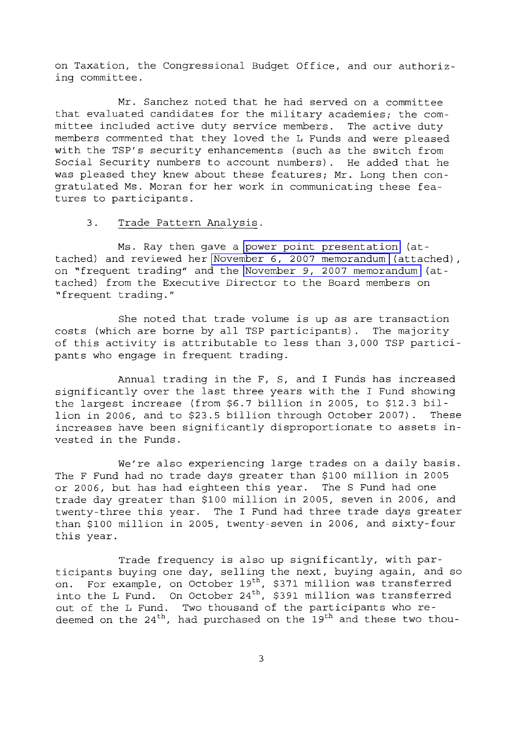on Taxation, the Congressional Budget Office, and our authorizing committee.

Mr. Sanchez noted that he had served on a committee that evaluated candidates for the military academies; the committee included active duty service members. The active duty members commented that they loved the L Funds and were pleased with the TSP's security enhancements (such as the switch from Social Security numbers to account numbers). He added that he was pleased they knew about these features; Mr. Long then congratulated Ms. Moran for her work in communicating these features to participants.

### 3. Trade Pattern Analysis.

Ms. Ray then gave a power point [presentation](MM-2007Nov-Att3.pdf) (attached) and reviewed her November 6, 2007 [memorandum](MM-2007Nov-Att4.pdf) (attached), on ~frequent trading" and the November 9, 2007 [memorandum](MM-2007Nov-Att5.pdf) (attached) from the Executive Director to the Board members on ~frequent trading."

She noted that trade volume is up as are transaction costs (which are borne by all TSP participants). The majority of this activity is attributable to less than 3,000 TSP participants who engage in frequent trading.

Annual trading in the F, S, and I Funds has increased significantly over the last three years with the <sup>I</sup> Fund showing the largest increase (from \$6.7 billion in 2005, to \$12.3 bil-<br>lion in 2006, and to \$23.5 billion through October 2007). These lion in 2006, and to \$23.5 billion through October 2007). increases have been significantly disproportionate to assets invested in the Funds.

We're also experiencing large trades on a daily basis. The F Fund had no trade days greater than \$100 million in 2005 or 2006, but has had eighteen this year. The <sup>S</sup> Fund had one trade day greater than \$100 million in 2005, seven in 2006, and twenty-three this year. The <sup>I</sup> Fund had three trade days greater than \$100 million in 2005, twenty-seven in 2006, and sixty-four this year.

Trade frequency is also up significantly, with participants buying one day, selling the next, buying again, and so on. For example, on October 19<sup>th</sup>, \$371 million was transferred into the L Fund. On October 24<sup>th</sup>, \$391 million was transferred out of the L Fund. Two thousand of the participants who redeemed on the  $24<sup>th</sup>$ , had purchased on the  $19<sup>th</sup>$  and these two thou-

3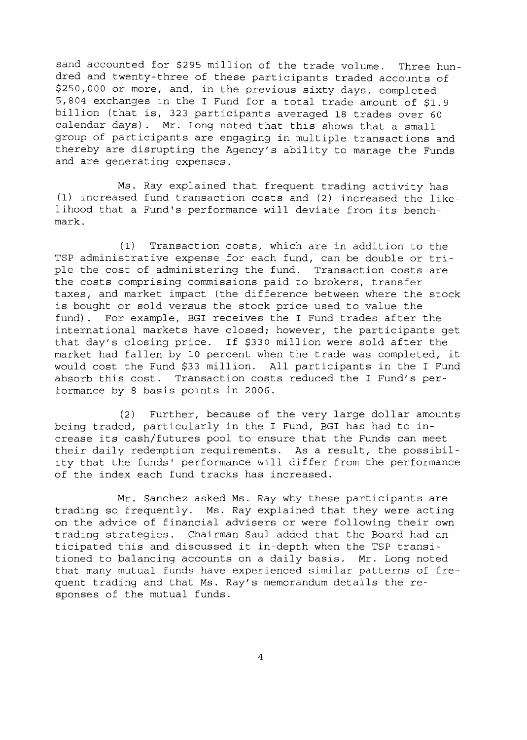sand accounted for \$295 million of the trade volume. Three hundred and twenty-three of these participants traded accounts of \$250,000 or more, and, in the previous sixty days, completed 5,804 exchanges in the <sup>I</sup> Fund for <sup>a</sup> total trade amount of \$1.9 billion (that is, 323 participants averaged <sup>18</sup> trades over <sup>60</sup> calendar days). Mr. Long noted that this shows that <sup>a</sup> small group of participants are engaging in multiple transactions and thereby are disrupting the Agency's ability to manage the Funds and are generating expenses.

Ms. Ray explained that frequent trading activity has (1) increased fund transaction costs and (2) increased the likelihood that <sup>a</sup> Fund's performance will deviate from its benchmark.

(1) Transaction costs, which are in addition to the TSP administrative expense for each fund, can be double or triple the cost of administering the fund. Transaction costs are the costs comprising commissions paid to brokers, transfer taxes, and market impact (the difference between where the stock is bought or sold versus the stock price used to value the fund). For example, BGI receives the <sup>I</sup> Fund trades after the international markets have closed; however, the participants get that day's closing price. If \$330 million were sold after the market had fallen by <sup>10</sup> percent when the trade was completed, it would cost the Fund \$33 million. All participants in the I Fund absorb this cost. Transaction costs reduced the <sup>I</sup> Fund's performance by 8 basis points in 2006.

(2) Further, because of the very large dollar amounts being traded, particularly in the <sup>I</sup> Fund, BGI has had to increase its cash/futures pool to ensure that the Funds can meet their daily redemption requirements. As <sup>a</sup> result, the possibility that the funds' performance will differ from the performance of the index each fund tracks has increased.

Mr. Sanchez asked Ms. Ray why these participants are trading so frequently. Ms. Ray explained that they were acting on the advice of financial advisers or were following their own trading strategies. Chairman Saul added that the Board had anticipated this and discussed it in-depth when the TSP transitioned to balancing accounts on a daily basis. Mr. Long noted that many mutual funds have experienced similar patterns of frequent trading and that Ms. Ray's memorandum details the responses of the mutual funds.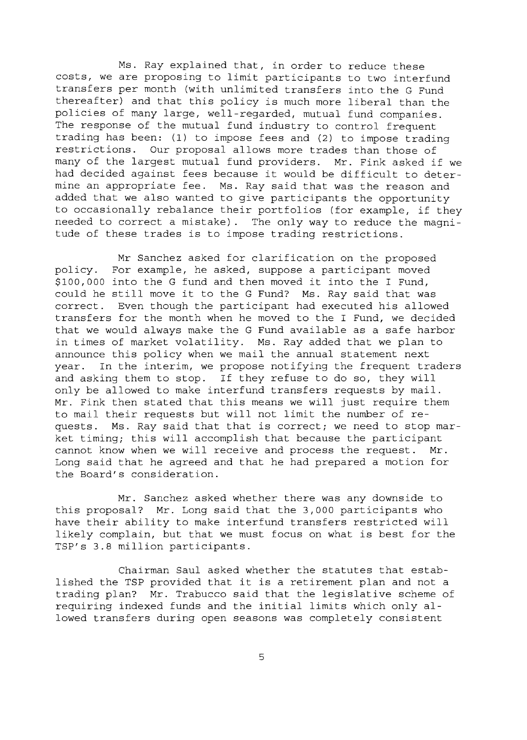Ms. Ray explained that, in order to reduce these costs, we are proposing to limit participants to two interfund transfers per month (with unlimited transfers into the G Fund thereafter) and that this policy is much more liberal than the policies of many large, well-regarded, mutual fund companies. The response of the mutual fund industry to control frequent trading has been: (1) to impose fees and (2) to impose trading restrictions. Our proposal allows more trades than those of many of the largest mutual fund providers. Mr. Fink asked if we had decided against fees because it would be difficult to determine an appropriate fee. Ms. Ray said that was the reason and added that we also wanted to give participants the opportunity to occasionally rebalance their portfolios (for example, if they needed to correct a mistake). The only way to reduce the magnitude of these trades is to impose trading restrictions.

Mr Sanchez asked for clarification on the proposed policy. For example, he asked, suppose a participant moved \$100,000 into the <sup>G</sup> fund and then moved it into the <sup>I</sup> Fund, could he still move it to the G Fund? Ms. Ray said that was correct. Even though the participant had executed his allow Even though the participant had executed his allowed transfers for the month when he moved to the I Fund, we decided that we would always make the G Fund available as a safe harbor in times of market volatility. Ms. Ray added that we plan to announce this policy when we mail the annual statement next year. In the interim, we propose notifying the frequent traders and asking them to stop. If they refuse to do so, they will only be allowed to make interfund transfers requests by mail. Mr. Fink then stated that this means we will just require them to mail their requests but will not limit the number of requests. Ms. Ray said that that is *correcti* we need to stop market timing; this will accomplish that because the participant cannot know when we will receive and process the request. Mr. Long said that he agreed and that he had prepared a motion for the Board's consideration.

Mr. Sanchez asked whether there was any downside to this proposal? Mr. Long said that the 3,000 participants who have their ability to make interfund transfers restricted will likely complain, but that we must focus on what is best for the TSP's 3.8 million participants.

Chairman Saul asked whether the statutes that established the TSP provided that it is <sup>a</sup> retirement plan and not <sup>a</sup> trading plan? Mr. Trabucco said that the legislative scheme of requiring indexed funds and the initial limits which only allowed transfers during open seasons was completely consistent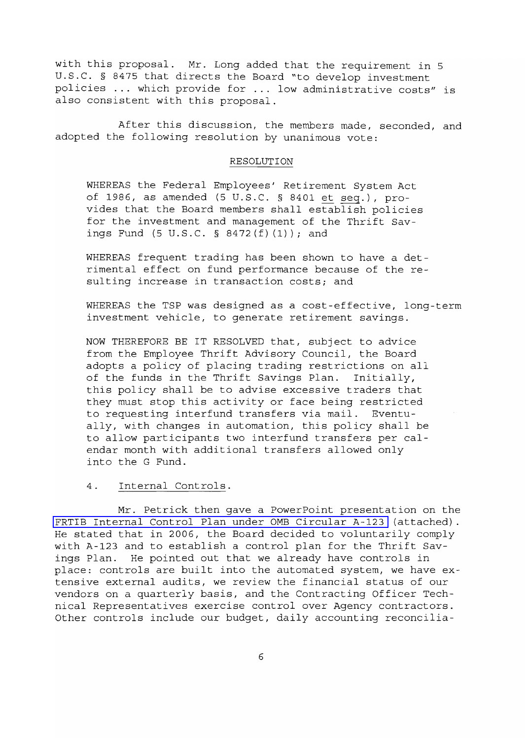with this proposal. Mr. Long added that the requirement in <sup>5</sup> U.S.C. § 8475 that directs the Board "to develop investment policies ... which provide for ... low administrative costs" is also consistent with this proposal.

After this discussion, the members made, seconded, and adopted the following resolution by unanimous vote:

#### RESOLUTION

WHEREAS the Federal Employees' Retirement System Act of 1986, as amended (5 U.S.C. § 8401 et seq.), provides that the Board members shall establish policies for the investment and management of the Thrift Savings Fund  $(5 \text{ U.S.C. } § 8472(f)(1))$ ; and

WHEREAS frequent trading has been shown to have a detrimental effect on fund performance because of the resulting increase in transaction costs; and

WHEREAS the TSP was designed as a cost-effective, long-term investment vehicle, to generate retirement savings.

NOW THEREFORE BE IT RESOLVED that, subject to advice from the Employee Thrift Advisory Council, the Board adopts <sup>a</sup> policy of placing trading restrictions on all of the funds in the Thrift Savings Plan. Initially, this policy shall be to advise excessive traders that they must stop this activity or face being restricted<br>to requesting interfund transfers via mail. Eventuto requesting interfund transfers via mail. ally, with changes in automation, this policy shall be to allow participants two interfund transfers per calendar month with additional transfers allowed only into the G Fund.

### 4. Internal Controls.

Mr. Petrick then gave a PowerPoint presentation on the FRTIB Internal Control Plan under OMB [Circular](MM-2007Nov-Att6.pdf) A-123 (attached). He stated that in 2006, the Board decided to voluntarily comply with A-123 and to establish <sup>a</sup> control plan for the Thrift Savings Plan. He pointed out that we already have controls in place: controls are built into the automated system, we have extensive external audits, we review the financial status of our vendors on a quarterly basis, and the Contracting Officer Technical Representatives exercise control over Agency contractors. Other controls include our budget, daily accounting reconcilia-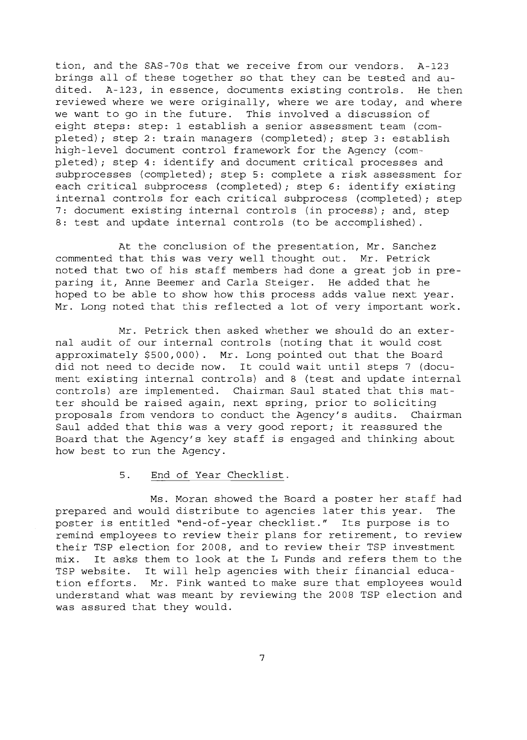tion, and the SAS-70s that we receive from our vendors. A-123 brings all of these together so that they can be tested and audited. A-123, in essence, documents existing controls. He then reviewed where we were originally, where we are today, and where we want to go in the future. This involved a discussion of eight steps: step: 1 establish a senior assessment team (completed); step 2: train managers (completed); step 3: establish high-level document control framework for the Agency (completed); step 4: identify and document critical processes and subprocesses (completed); step 5: complete <sup>a</sup> risk assessment for each critical subprocess (completed); step 6: identify existing internal controls for each critical subprocess (completed); step 7: document existing internal controls (in process); and, step 8: test and update internal controls (to be accomplished).

At the conclusion of the presentation, Mr. Sanchez commented that this was very well thought out. Mr. Petrick noted that two of his staff members had done <sup>a</sup> great job in preparing it, Anne Beemer and Carla Steiger. He added that he hoped to be able to show how this process adds value next year. Mr. Long noted that this reflected <sup>a</sup> lot of very important work.

Mr. Petrick then asked whether we should do an external audit of our internal controls (noting that it would cost approximately \$500,000). Mr. Long pointed out that the Board did not need to decide now. It could wait until steps <sup>7</sup> (document existing internal controls) and <sup>8</sup> (test and update internal controls) are implemented. Chairman Saul stated that this matter should be raised again, next spring, prior to soliciting<br>proposals from vendors to conduct the Agency's audits. Chairman proposals from vendors to conduct the Agency's audits. Saul added that this was <sup>a</sup> very good report; it reassured the Board that the Agency's key staff is engaged and thinking about how best to run the Agency.

#### 5. End of Year Checklist.

Ms. Moran showed the Board <sup>a</sup> poster her staff had prepared and would distribute to agencies later this year. The poster is entitled "end-of-year checklist." Its purpose is to remind employees to review their plans for retirement, to review their TSP election for 2008, and to review their TSP investment mix. It asks them to look at the <sup>L</sup> Funds and refers them to the TSP website. It will help agencies with their financial education efforts. Mr. Fink wanted to make sure that employees would understand what was meant by reviewing the 2008 TSP election and was assured that they would.